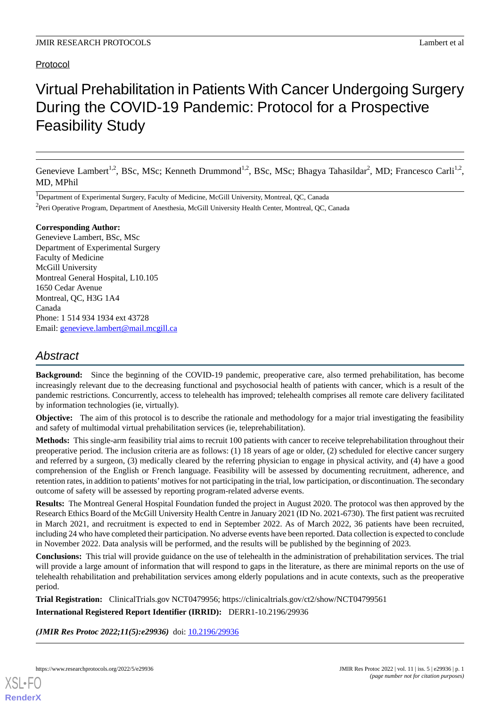## Protocol

# Virtual Prehabilitation in Patients With Cancer Undergoing Surgery During the COVID-19 Pandemic: Protocol for a Prospective Feasibility Study

Genevieve Lambert<sup>1,2</sup>, BSc, MSc; Kenneth Drummond<sup>1,2</sup>, BSc, MSc; Bhagya Tahasildar<sup>2</sup>, MD; Francesco Carli<sup>1,2</sup>, MD, MPhil

<sup>1</sup>Department of Experimental Surgery, Faculty of Medicine, McGill University, Montreal, QC, Canada <sup>2</sup> Peri Operative Program, Department of Anesthesia, McGill University Health Center, Montreal, QC, Canada

#### **Corresponding Author:**

Genevieve Lambert, BSc, MSc Department of Experimental Surgery Faculty of Medicine McGill University Montreal General Hospital, L10.105 1650 Cedar Avenue Montreal, QC, H3G 1A4 Canada Phone: 1 514 934 1934 ext 43728 Email: [genevieve.lambert@mail.mcgill.ca](mailto:genevieve.lambert@mail.mcgill.ca)

## *Abstract*

**Background:** Since the beginning of the COVID-19 pandemic, preoperative care, also termed prehabilitation, has become increasingly relevant due to the decreasing functional and psychosocial health of patients with cancer, which is a result of the pandemic restrictions. Concurrently, access to telehealth has improved; telehealth comprises all remote care delivery facilitated by information technologies (ie, virtually).

**Objective:** The aim of this protocol is to describe the rationale and methodology for a major trial investigating the feasibility and safety of multimodal virtual prehabilitation services (ie, teleprehabilitation).

**Methods:** This single-arm feasibility trial aims to recruit 100 patients with cancer to receive teleprehabilitation throughout their preoperative period. The inclusion criteria are as follows: (1) 18 years of age or older, (2) scheduled for elective cancer surgery and referred by a surgeon, (3) medically cleared by the referring physician to engage in physical activity, and (4) have a good comprehension of the English or French language. Feasibility will be assessed by documenting recruitment, adherence, and retention rates, in addition to patients'motives for not participating in the trial, low participation, or discontinuation. The secondary outcome of safety will be assessed by reporting program-related adverse events.

**Results:** The Montreal General Hospital Foundation funded the project in August 2020. The protocol was then approved by the Research Ethics Board of the McGill University Health Centre in January 2021 (ID No. 2021-6730). The first patient was recruited in March 2021, and recruitment is expected to end in September 2022. As of March 2022, 36 patients have been recruited, including 24 who have completed their participation. No adverse events have been reported. Data collection is expected to conclude in November 2022. Data analysis will be performed, and the results will be published by the beginning of 2023.

**Conclusions:** This trial will provide guidance on the use of telehealth in the administration of prehabilitation services. The trial will provide a large amount of information that will respond to gaps in the literature, as there are minimal reports on the use of telehealth rehabilitation and prehabilitation services among elderly populations and in acute contexts, such as the preoperative period.

**Trial Registration:** ClinicalTrials.gov NCT0479956; https://clinicaltrials.gov/ct2/show/NCT04799561 **International Registered Report Identifier (IRRID):** DERR1-10.2196/29936

*(JMIR Res Protoc 2022;11(5):e29936)* doi: [10.2196/29936](http://dx.doi.org/10.2196/29936)

**[RenderX](http://www.renderx.com/)**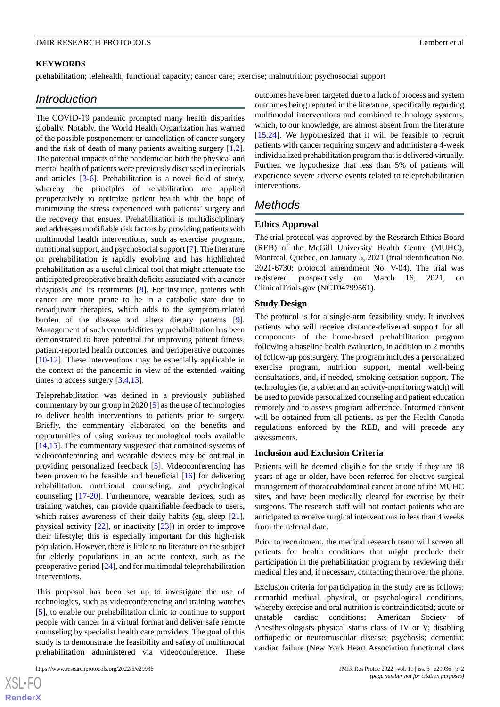#### **KEYWORDS**

prehabilitation; telehealth; functional capacity; cancer care; exercise; malnutrition; psychosocial support

## *Introduction*

The COVID-19 pandemic prompted many health disparities globally. Notably, the World Health Organization has warned of the possible postponement or cancellation of cancer surgery and the risk of death of many patients awaiting surgery [\[1](#page-7-0),[2\]](#page-7-1). The potential impacts of the pandemic on both the physical and mental health of patients were previously discussed in editorials and articles [\[3](#page-7-2)-[6\]](#page-7-3). Prehabilitation is a novel field of study, whereby the principles of rehabilitation are applied preoperatively to optimize patient health with the hope of minimizing the stress experienced with patients' surgery and the recovery that ensues. Prehabilitation is multidisciplinary and addresses modifiable risk factors by providing patients with multimodal health interventions, such as exercise programs, nutritional support, and psychosocial support [\[7](#page-7-4)]. The literature on prehabilitation is rapidly evolving and has highlighted prehabilitation as a useful clinical tool that might attenuate the anticipated preoperative health deficits associated with a cancer diagnosis and its treatments [\[8](#page-7-5)]. For instance, patients with cancer are more prone to be in a catabolic state due to neoadjuvant therapies, which adds to the symptom-related burden of the disease and alters dietary patterns [[9\]](#page-7-6). Management of such comorbidities by prehabilitation has been demonstrated to have potential for improving patient fitness, patient-reported health outcomes, and perioperative outcomes [[10](#page-7-7)[-12](#page-7-8)]. These interventions may be especially applicable in the context of the pandemic in view of the extended waiting times to access surgery [[3,](#page-7-2)[4](#page-7-9),[13\]](#page-7-10).

Teleprehabilitation was defined in a previously published commentary by our group in 2020 [\[5](#page-7-11)] as the use of technologies to deliver health interventions to patients prior to surgery. Briefly, the commentary elaborated on the benefits and opportunities of using various technological tools available [[14](#page-7-12)[,15](#page-7-13)]. The commentary suggested that combined systems of videoconferencing and wearable devices may be optimal in providing personalized feedback [\[5](#page-7-11)]. Videoconferencing has been proven to be feasible and beneficial [\[16](#page-8-0)] for delivering rehabilitation, nutritional counseling, and psychological counseling [[17-](#page-8-1)[20\]](#page-8-2). Furthermore, wearable devices, such as training watches, can provide quantifiable feedback to users, which raises awareness of their daily habits (eg, sleep [[21\]](#page-8-3), physical activity [[22\]](#page-8-4), or inactivity [\[23](#page-8-5)]) in order to improve their lifestyle; this is especially important for this high-risk population. However, there is little to no literature on the subject for elderly populations in an acute context, such as the preoperative period [\[24](#page-8-6)], and for multimodal teleprehabilitation interventions.

This proposal has been set up to investigate the use of technologies, such as videoconferencing and training watches [[5\]](#page-7-11), to enable our prehabilitation clinic to continue to support people with cancer in a virtual format and deliver safe remote counseling by specialist health care providers. The goal of this study is to demonstrate the feasibility and safety of multimodal prehabilitation administered via videoconference. These

outcomes have been targeted due to a lack of process and system outcomes being reported in the literature, specifically regarding multimodal interventions and combined technology systems, which, to our knowledge, are almost absent from the literature [[15,](#page-7-13)[24\]](#page-8-6). We hypothesized that it will be feasible to recruit patients with cancer requiring surgery and administer a 4-week individualized prehabilitation program that is delivered virtually. Further, we hypothesize that less than 5% of patients will experience severe adverse events related to teleprehabilitation interventions.

## *Methods*

## **Ethics Approval**

The trial protocol was approved by the Research Ethics Board (REB) of the McGill University Health Centre (MUHC), Montreal, Quebec, on January 5, 2021 (trial identification No. 2021-6730; protocol amendment No. V-04). The trial was registered prospectively on March 16, 2021, on ClinicalTrials.gov (NCT04799561).

#### **Study Design**

The protocol is for a single-arm feasibility study. It involves patients who will receive distance-delivered support for all components of the home-based prehabilitation program following a baseline health evaluation, in addition to 2 months of follow-up postsurgery. The program includes a personalized exercise program, nutrition support, mental well-being consultations, and, if needed, smoking cessation support. The technologies (ie, a tablet and an activity-monitoring watch) will be used to provide personalized counseling and patient education remotely and to assess program adherence. Informed consent will be obtained from all patients, as per the Health Canada regulations enforced by the REB, and will precede any assessments.

## **Inclusion and Exclusion Criteria**

Patients will be deemed eligible for the study if they are 18 years of age or older, have been referred for elective surgical management of thoracoabdominal cancer at one of the MUHC sites, and have been medically cleared for exercise by their surgeons. The research staff will not contact patients who are anticipated to receive surgical interventions in less than 4 weeks from the referral date.

Prior to recruitment, the medical research team will screen all patients for health conditions that might preclude their participation in the prehabilitation program by reviewing their medical files and, if necessary, contacting them over the phone.

Exclusion criteria for participation in the study are as follows: comorbid medical, physical, or psychological conditions, whereby exercise and oral nutrition is contraindicated; acute or unstable cardiac conditions; American Society of Anesthesiologists physical status class of IV or V; disabling orthopedic or neuromuscular disease; psychosis; dementia; cardiac failure (New York Heart Association functional class

 $XS$ -FO **[RenderX](http://www.renderx.com/)**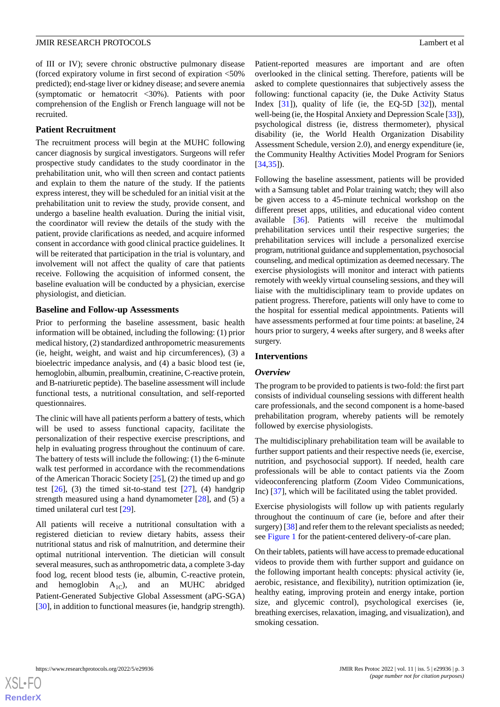#### **JMIR RESEARCH PROTOCOLS** Lambert et al.

of III or IV); severe chronic obstructive pulmonary disease (forced expiratory volume in first second of expiration <50% predicted); end-stage liver or kidney disease; and severe anemia (symptomatic or hematocrit <30%). Patients with poor comprehension of the English or French language will not be recruited.

#### **Patient Recruitment**

The recruitment process will begin at the MUHC following cancer diagnosis by surgical investigators. Surgeons will refer prospective study candidates to the study coordinator in the prehabilitation unit, who will then screen and contact patients and explain to them the nature of the study. If the patients express interest, they will be scheduled for an initial visit at the prehabilitation unit to review the study, provide consent, and undergo a baseline health evaluation. During the initial visit, the coordinator will review the details of the study with the patient, provide clarifications as needed, and acquire informed consent in accordance with good clinical practice guidelines. It will be reiterated that participation in the trial is voluntary, and involvement will not affect the quality of care that patients receive. Following the acquisition of informed consent, the baseline evaluation will be conducted by a physician, exercise physiologist, and dietician.

#### **Baseline and Follow-up Assessments**

Prior to performing the baseline assessment, basic health information will be obtained, including the following: (1) prior medical history, (2) standardized anthropometric measurements (ie, height, weight, and waist and hip circumferences), (3) a bioelectric impedance analysis, and (4) a basic blood test (ie, hemoglobin, albumin, prealbumin, creatinine, C-reactive protein, and B-natriuretic peptide). The baseline assessment will include functional tests, a nutritional consultation, and self-reported questionnaires.

The clinic will have all patients perform a battery of tests, which will be used to assess functional capacity, facilitate the personalization of their respective exercise prescriptions, and help in evaluating progress throughout the continuum of care. The battery of tests will include the following: (1) the 6-minute walk test performed in accordance with the recommendations of the American Thoracic Society  $[25]$  $[25]$ , (2) the timed up and go test  $[26]$  $[26]$ ,  $(3)$  the timed sit-to-stand test  $[27]$  $[27]$ ,  $(4)$  handgrip strength measured using a hand dynamometer [[28\]](#page-8-10), and (5) a timed unilateral curl test [[29\]](#page-8-11).

All patients will receive a nutritional consultation with a registered dietician to review dietary habits, assess their nutritional status and risk of malnutrition, and determine their optimal nutritional intervention. The dietician will consult several measures, such as anthropometric data, a complete 3-day food log, recent blood tests (ie, albumin, C-reactive protein, and hemoglobin  $A_{1C}$ ), and an MUHC abridged Patient-Generated Subjective Global Assessment (aPG-SGA) [[30\]](#page-8-12), in addition to functional measures (ie, handgrip strength).

Patient-reported measures are important and are often overlooked in the clinical setting. Therefore, patients will be asked to complete questionnaires that subjectively assess the following: functional capacity (ie, the Duke Activity Status Index [\[31](#page-8-13)]), quality of life (ie, the EQ-5D [[32\]](#page-8-14)), mental well-being (ie, the Hospital Anxiety and Depression Scale [\[33\]](#page-8-15)), psychological distress (ie, distress thermometer), physical disability (ie, the World Health Organization Disability Assessment Schedule, version 2.0), and energy expenditure (ie, the Community Healthy Activities Model Program for Seniors [[34,](#page-8-16)[35\]](#page-8-17)).

Following the baseline assessment, patients will be provided with a Samsung tablet and Polar training watch; they will also be given access to a 45-minute technical workshop on the different preset apps, utilities, and educational video content available [[36\]](#page-8-18). Patients will receive the multimodal prehabilitation services until their respective surgeries; the prehabilitation services will include a personalized exercise program, nutritional guidance and supplementation, psychosocial counseling, and medical optimization as deemed necessary. The exercise physiologists will monitor and interact with patients remotely with weekly virtual counseling sessions, and they will liaise with the multidisciplinary team to provide updates on patient progress. Therefore, patients will only have to come to the hospital for essential medical appointments. Patients will have assessments performed at four time points: at baseline, 24 hours prior to surgery, 4 weeks after surgery, and 8 weeks after surgery.

#### **Interventions**

#### *Overview*

The program to be provided to patients is two-fold: the first part consists of individual counseling sessions with different health care professionals, and the second component is a home-based prehabilitation program, whereby patients will be remotely followed by exercise physiologists.

The multidisciplinary prehabilitation team will be available to further support patients and their respective needs (ie, exercise, nutrition, and psychosocial support). If needed, health care professionals will be able to contact patients via the Zoom videoconferencing platform (Zoom Video Communications, Inc) [[37\]](#page-8-19), which will be facilitated using the tablet provided.

Exercise physiologists will follow up with patients regularly throughout the continuum of care (ie, before and after their surgery) [\[38\]](#page-9-0) and refer them to the relevant specialists as needed; see [Figure 1](#page-3-0) for the patient-centered delivery-of-care plan.

On their tablets, patients will have access to premade educational videos to provide them with further support and guidance on the following important health concepts: physical activity (ie, aerobic, resistance, and flexibility), nutrition optimization (ie, healthy eating, improving protein and energy intake, portion size, and glycemic control), psychological exercises (ie, breathing exercises, relaxation, imaging, and visualization), and smoking cessation.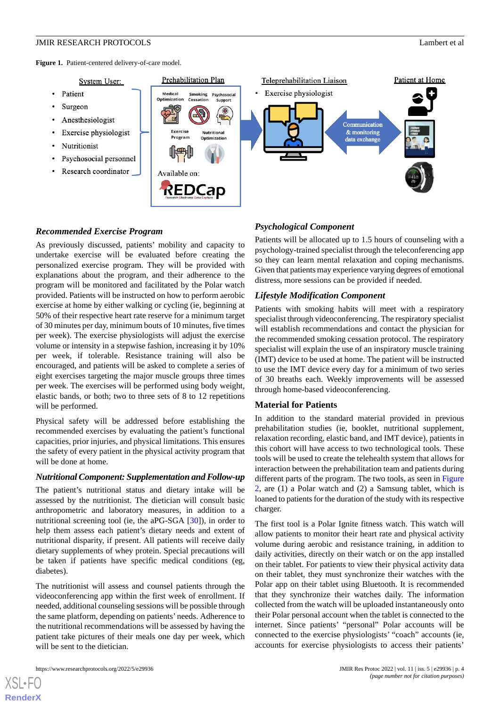<span id="page-3-0"></span>Figure 1. Patient-centered delivery-of-care model.



## *Recommended Exercise Program*

As previously discussed, patients' mobility and capacity to undertake exercise will be evaluated before creating the personalized exercise program. They will be provided with explanations about the program, and their adherence to the program will be monitored and facilitated by the Polar watch provided. Patients will be instructed on how to perform aerobic exercise at home by either walking or cycling (ie, beginning at 50% of their respective heart rate reserve for a minimum target of 30 minutes per day, minimum bouts of 10 minutes, five times per week). The exercise physiologists will adjust the exercise volume or intensity in a stepwise fashion, increasing it by 10% per week, if tolerable. Resistance training will also be encouraged, and patients will be asked to complete a series of eight exercises targeting the major muscle groups three times per week. The exercises will be performed using body weight, elastic bands, or both; two to three sets of 8 to 12 repetitions will be performed.

Physical safety will be addressed before establishing the recommended exercises by evaluating the patient's functional capacities, prior injuries, and physical limitations. This ensures the safety of every patient in the physical activity program that will be done at home.

## *Nutritional Component: Supplementation and Follow-up*

The patient's nutritional status and dietary intake will be assessed by the nutritionist. The dietician will consult basic anthropometric and laboratory measures, in addition to a nutritional screening tool (ie, the aPG-SGA [\[30](#page-8-12)]), in order to help them assess each patient's dietary needs and extent of nutritional disparity, if present. All patients will receive daily dietary supplements of whey protein. Special precautions will be taken if patients have specific medical conditions (eg, diabetes).

The nutritionist will assess and counsel patients through the videoconferencing app within the first week of enrollment. If needed, additional counseling sessions will be possible through the same platform, depending on patients' needs. Adherence to the nutritional recommendations will be assessed by having the patient take pictures of their meals one day per week, which will be sent to the dietician.

[XSL](http://www.w3.org/Style/XSL)•FO **[RenderX](http://www.renderx.com/)**

## *Psychological Component*

Patients will be allocated up to 1.5 hours of counseling with a psychology-trained specialist through the teleconferencing app so they can learn mental relaxation and coping mechanisms. Given that patients may experience varying degrees of emotional distress, more sessions can be provided if needed.

## *Lifestyle Modification Component*

Patients with smoking habits will meet with a respiratory specialist through videoconferencing. The respiratory specialist will establish recommendations and contact the physician for the recommended smoking cessation protocol. The respiratory specialist will explain the use of an inspiratory muscle training (IMT) device to be used at home. The patient will be instructed to use the IMT device every day for a minimum of two series of 30 breaths each. Weekly improvements will be assessed through home-based videoconferencing.

## **Material for Patients**

In addition to the standard material provided in previous prehabilitation studies (ie, booklet, nutritional supplement, relaxation recording, elastic band, and IMT device), patients in this cohort will have access to two technological tools. These tools will be used to create the telehealth system that allows for interaction between the prehabilitation team and patients during different parts of the program. The two tools, as seen in [Figure](#page-4-0) [2,](#page-4-0) are (1) a Polar watch and (2) a Samsung tablet, which is loaned to patients for the duration of the study with its respective charger.

The first tool is a Polar Ignite fitness watch. This watch will allow patients to monitor their heart rate and physical activity volume during aerobic and resistance training, in addition to daily activities, directly on their watch or on the app installed on their tablet. For patients to view their physical activity data on their tablet, they must synchronize their watches with the Polar app on their tablet using Bluetooth. It is recommended that they synchronize their watches daily. The information collected from the watch will be uploaded instantaneously onto their Polar personal account when the tablet is connected to the internet. Since patients' "personal" Polar accounts will be connected to the exercise physiologists' "coach" accounts (ie, accounts for exercise physiologists to access their patients'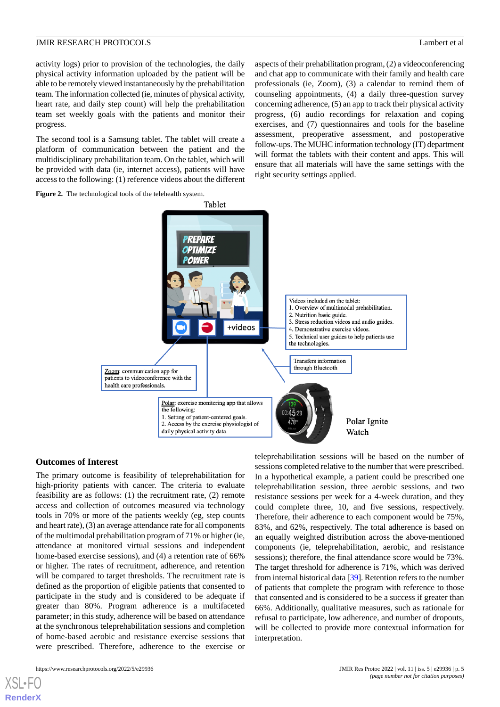activity logs) prior to provision of the technologies, the daily physical activity information uploaded by the patient will be able to be remotely viewed instantaneously by the prehabilitation team. The information collected (ie, minutes of physical activity, heart rate, and daily step count) will help the prehabilitation team set weekly goals with the patients and monitor their progress.

The second tool is a Samsung tablet. The tablet will create a platform of communication between the patient and the multidisciplinary prehabilitation team. On the tablet, which will be provided with data (ie, internet access), patients will have access to the following: (1) reference videos about the different aspects of their prehabilitation program, (2) a videoconferencing and chat app to communicate with their family and health care professionals (ie, Zoom), (3) a calendar to remind them of counseling appointments, (4) a daily three-question survey concerning adherence, (5) an app to track their physical activity progress, (6) audio recordings for relaxation and coping exercises, and (7) questionnaires and tools for the baseline assessment, preoperative assessment, and postoperative follow-ups. The MUHC information technology (IT) department will format the tablets with their content and apps. This will ensure that all materials will have the same settings with the right security settings applied.

<span id="page-4-0"></span>



#### **Outcomes of Interest**

The primary outcome is feasibility of teleprehabilitation for high-priority patients with cancer. The criteria to evaluate feasibility are as follows: (1) the recruitment rate, (2) remote access and collection of outcomes measured via technology tools in 70% or more of the patients weekly (eg, step counts and heart rate), (3) an average attendance rate for all components of the multimodal prehabilitation program of 71% or higher (ie, attendance at monitored virtual sessions and independent home-based exercise sessions), and (4) a retention rate of 66% or higher. The rates of recruitment, adherence, and retention will be compared to target thresholds. The recruitment rate is defined as the proportion of eligible patients that consented to participate in the study and is considered to be adequate if greater than 80%. Program adherence is a multifaceted parameter; in this study, adherence will be based on attendance at the synchronous teleprehabilitation sessions and completion of home-based aerobic and resistance exercise sessions that were prescribed. Therefore, adherence to the exercise or

teleprehabilitation sessions will be based on the number of sessions completed relative to the number that were prescribed. In a hypothetical example, a patient could be prescribed one teleprehabilitation session, three aerobic sessions, and two resistance sessions per week for a 4-week duration, and they could complete three, 10, and five sessions, respectively. Therefore, their adherence to each component would be 75%, 83%, and 62%, respectively. The total adherence is based on an equally weighted distribution across the above-mentioned components (ie, teleprehabilitation, aerobic, and resistance sessions); therefore, the final attendance score would be 73%. The target threshold for adherence is 71%, which was derived from internal historical data [[39\]](#page-9-1). Retention refers to the number of patients that complete the program with reference to those that consented and is considered to be a success if greater than 66%. Additionally, qualitative measures, such as rationale for refusal to participate, low adherence, and number of dropouts, will be collected to provide more contextual information for interpretation.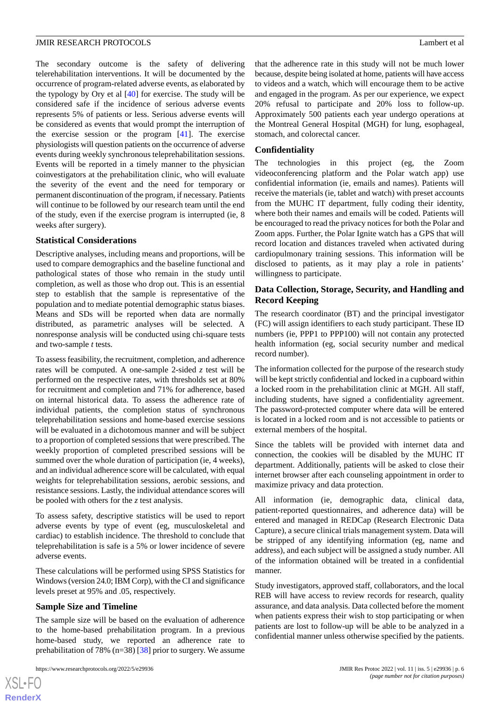The secondary outcome is the safety of delivering telerehabilitation interventions. It will be documented by the occurrence of program-related adverse events, as elaborated by the typology by Ory et al [[40\]](#page-9-2) for exercise. The study will be considered safe if the incidence of serious adverse events represents 5% of patients or less. Serious adverse events will be considered as events that would prompt the interruption of the exercise session or the program [\[41](#page-9-3)]. The exercise physiologists will question patients on the occurrence of adverse events during weekly synchronous teleprehabilitation sessions. Events will be reported in a timely manner to the physician coinvestigators at the prehabilitation clinic, who will evaluate the severity of the event and the need for temporary or permanent discontinuation of the program, if necessary. Patients will continue to be followed by our research team until the end of the study, even if the exercise program is interrupted (ie, 8 weeks after surgery).

## **Statistical Considerations**

Descriptive analyses, including means and proportions, will be used to compare demographics and the baseline functional and pathological states of those who remain in the study until completion, as well as those who drop out. This is an essential step to establish that the sample is representative of the population and to mediate potential demographic status biases. Means and SDs will be reported when data are normally distributed, as parametric analyses will be selected. A nonresponse analysis will be conducted using chi-square tests and two-sample *t* tests.

To assess feasibility, the recruitment, completion, and adherence rates will be computed. A one-sample 2-sided *z* test will be performed on the respective rates, with thresholds set at 80% for recruitment and completion and 71% for adherence, based on internal historical data. To assess the adherence rate of individual patients, the completion status of synchronous teleprehabilitation sessions and home-based exercise sessions will be evaluated in a dichotomous manner and will be subject to a proportion of completed sessions that were prescribed. The weekly proportion of completed prescribed sessions will be summed over the whole duration of participation (ie, 4 weeks), and an individual adherence score will be calculated, with equal weights for teleprehabilitation sessions, aerobic sessions, and resistance sessions. Lastly, the individual attendance scores will be pooled with others for the *z* test analysis.

To assess safety, descriptive statistics will be used to report adverse events by type of event (eg, musculoskeletal and cardiac) to establish incidence. The threshold to conclude that teleprehabilitation is safe is a 5% or lower incidence of severe adverse events.

These calculations will be performed using SPSS Statistics for Windows (version 24.0; IBM Corp), with the CI and significance levels preset at 95% and .05, respectively.

#### **Sample Size and Timeline**

The sample size will be based on the evaluation of adherence to the home-based prehabilitation program. In a previous home-based study, we reported an adherence rate to prehabilitation of 78% ( $n=38$ ) [\[38](#page-9-0)] prior to surgery. We assume

 $XS$ -FO **[RenderX](http://www.renderx.com/)**

that the adherence rate in this study will not be much lower because, despite being isolated at home, patients will have access to videos and a watch, which will encourage them to be active and engaged in the program. As per our experience, we expect 20% refusal to participate and 20% loss to follow-up. Approximately 500 patients each year undergo operations at the Montreal General Hospital (MGH) for lung, esophageal, stomach, and colorectal cancer.

## **Confidentiality**

The technologies in this project (eg, the Zoom videoconferencing platform and the Polar watch app) use confidential information (ie, emails and names). Patients will receive the materials (ie, tablet and watch) with preset accounts from the MUHC IT department, fully coding their identity, where both their names and emails will be coded. Patients will be encouraged to read the privacy notices for both the Polar and Zoom apps. Further, the Polar Ignite watch has a GPS that will record location and distances traveled when activated during cardiopulmonary training sessions. This information will be disclosed to patients, as it may play a role in patients' willingness to participate.

## **Data Collection, Storage, Security, and Handling and Record Keeping**

The research coordinator (BT) and the principal investigator (FC) will assign identifiers to each study participant. These ID numbers (ie, PPP1 to PPP100) will not contain any protected health information (eg, social security number and medical record number).

The information collected for the purpose of the research study will be kept strictly confidential and locked in a cupboard within a locked room in the prehabilitation clinic at MGH. All staff, including students, have signed a confidentiality agreement. The password-protected computer where data will be entered is located in a locked room and is not accessible to patients or external members of the hospital.

Since the tablets will be provided with internet data and connection, the cookies will be disabled by the MUHC IT department. Additionally, patients will be asked to close their internet browser after each counseling appointment in order to maximize privacy and data protection.

All information (ie, demographic data, clinical data, patient-reported questionnaires, and adherence data) will be entered and managed in REDCap (Research Electronic Data Capture), a secure clinical trials management system. Data will be stripped of any identifying information (eg, name and address), and each subject will be assigned a study number. All of the information obtained will be treated in a confidential manner.

Study investigators, approved staff, collaborators, and the local REB will have access to review records for research, quality assurance, and data analysis. Data collected before the moment when patients express their wish to stop participating or when patients are lost to follow-up will be able to be analyzed in a confidential manner unless otherwise specified by the patients.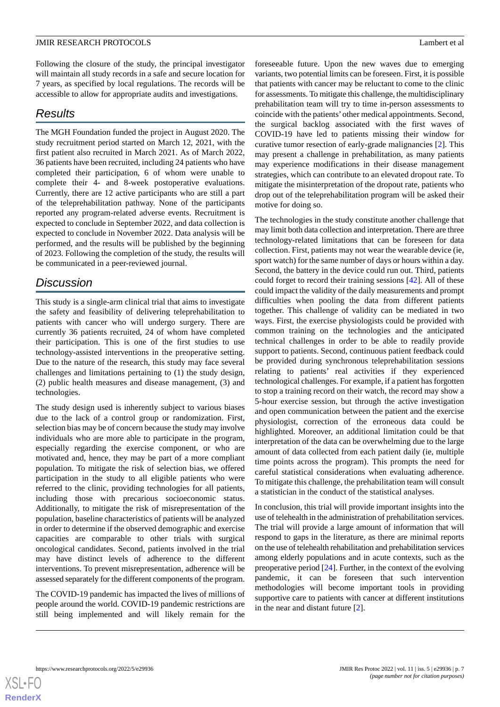Following the closure of the study, the principal investigator will maintain all study records in a safe and secure location for 7 years, as specified by local regulations. The records will be accessible to allow for appropriate audits and investigations.

# *Results*

The MGH Foundation funded the project in August 2020. The study recruitment period started on March 12, 2021, with the first patient also recruited in March 2021. As of March 2022, 36 patients have been recruited, including 24 patients who have completed their participation, 6 of whom were unable to complete their 4- and 8-week postoperative evaluations. Currently, there are 12 active participants who are still a part of the teleprehabilitation pathway. None of the participants reported any program-related adverse events. Recruitment is expected to conclude in September 2022, and data collection is expected to conclude in November 2022. Data analysis will be performed, and the results will be published by the beginning of 2023. Following the completion of the study, the results will be communicated in a peer-reviewed journal.

# *Discussion*

This study is a single-arm clinical trial that aims to investigate the safety and feasibility of delivering teleprehabilitation to patients with cancer who will undergo surgery. There are currently 36 patients recruited, 24 of whom have completed their participation. This is one of the first studies to use technology-assisted interventions in the preoperative setting. Due to the nature of the research, this study may face several challenges and limitations pertaining to (1) the study design, (2) public health measures and disease management, (3) and technologies.

The study design used is inherently subject to various biases due to the lack of a control group or randomization. First, selection bias may be of concern because the study may involve individuals who are more able to participate in the program, especially regarding the exercise component, or who are motivated and, hence, they may be part of a more compliant population. To mitigate the risk of selection bias, we offered participation in the study to all eligible patients who were referred to the clinic, providing technologies for all patients, including those with precarious socioeconomic status. Additionally, to mitigate the risk of misrepresentation of the population, baseline characteristics of patients will be analyzed in order to determine if the observed demographic and exercise capacities are comparable to other trials with surgical oncological candidates. Second, patients involved in the trial may have distinct levels of adherence to the different interventions. To prevent misrepresentation, adherence will be assessed separately for the different components of the program.

The COVID-19 pandemic has impacted the lives of millions of people around the world. COVID-19 pandemic restrictions are still being implemented and will likely remain for the

foreseeable future. Upon the new waves due to emerging variants, two potential limits can be foreseen. First, it is possible that patients with cancer may be reluctant to come to the clinic for assessments. To mitigate this challenge, the multidisciplinary prehabilitation team will try to time in-person assessments to coincide with the patients'other medical appointments. Second, the surgical backlog associated with the first waves of COVID-19 have led to patients missing their window for curative tumor resection of early-grade malignancies [[2](#page-7-1)]. This may present a challenge in prehabilitation, as many patients may experience modifications in their disease management strategies, which can contribute to an elevated dropout rate. To mitigate the misinterpretation of the dropout rate, patients who drop out of the teleprehabilitation program will be asked their motive for doing so.

The technologies in the study constitute another challenge that may limit both data collection and interpretation. There are three technology-related limitations that can be foreseen for data collection. First, patients may not wear the wearable device (ie, sport watch) for the same number of days or hours within a day. Second, the battery in the device could run out. Third, patients could forget to record their training sessions [\[42](#page-9-4)]. All of these could impact the validity of the daily measurements and prompt difficulties when pooling the data from different patients together. This challenge of validity can be mediated in two ways. First, the exercise physiologists could be provided with common training on the technologies and the anticipated technical challenges in order to be able to readily provide support to patients. Second, continuous patient feedback could be provided during synchronous teleprehabilitation sessions relating to patients' real activities if they experienced technological challenges. For example, if a patient has forgotten to stop a training record on their watch, the record may show a 5-hour exercise session, but through the active investigation and open communication between the patient and the exercise physiologist, correction of the erroneous data could be highlighted. Moreover, an additional limitation could be that interpretation of the data can be overwhelming due to the large amount of data collected from each patient daily (ie, multiple time points across the program). This prompts the need for careful statistical considerations when evaluating adherence. To mitigate this challenge, the prehabilitation team will consult a statistician in the conduct of the statistical analyses.

In conclusion, this trial will provide important insights into the use of telehealth in the administration of prehabilitation services. The trial will provide a large amount of information that will respond to gaps in the literature, as there are minimal reports on the use of telehealth rehabilitation and prehabilitation services among elderly populations and in acute contexts, such as the preoperative period [\[24](#page-8-6)]. Further, in the context of the evolving pandemic, it can be foreseen that such intervention methodologies will become important tools in providing supportive care to patients with cancer at different institutions in the near and distant future [\[2](#page-7-1)].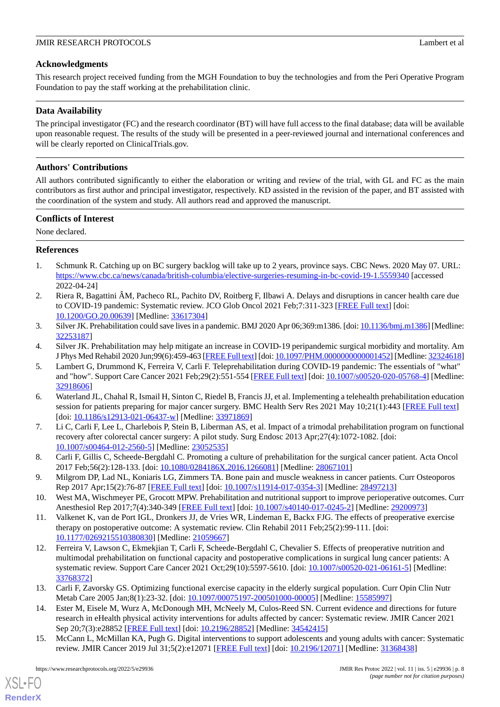## **Acknowledgments**

This research project received funding from the MGH Foundation to buy the technologies and from the Peri Operative Program Foundation to pay the staff working at the prehabilitation clinic.

## **Data Availability**

The principal investigator (FC) and the research coordinator (BT) will have full access to the final database; data will be available upon reasonable request. The results of the study will be presented in a peer-reviewed journal and international conferences and will be clearly reported on ClinicalTrials.gov.

## **Authors' Contributions**

All authors contributed significantly to either the elaboration or writing and review of the trial, with GL and FC as the main contributors as first author and principal investigator, respectively. KD assisted in the revision of the paper, and BT assisted with the coordination of the system and study. All authors read and approved the manuscript.

## **Conflicts of Interest**

<span id="page-7-0"></span>None declared.

## **References**

- <span id="page-7-1"></span>1. Schmunk R. Catching up on BC surgery backlog will take up to 2 years, province says. CBC News. 2020 May 07. URL: <https://www.cbc.ca/news/canada/british-columbia/elective-surgeries-resuming-in-bc-covid-19-1.5559340> [accessed 2022-04-24]
- <span id="page-7-2"></span>2. Riera R, Bagattini ÂM, Pacheco RL, Pachito DV, Roitberg F, Ilbawi A. Delays and disruptions in cancer health care due to COVID-19 pandemic: Systematic review. JCO Glob Oncol 2021 Feb;7:311-323 [\[FREE Full text\]](http://europepmc.org/abstract/MED/33617304) [doi: [10.1200/GO.20.00639](http://dx.doi.org/10.1200/GO.20.00639)] [Medline: [33617304](http://www.ncbi.nlm.nih.gov/entrez/query.fcgi?cmd=Retrieve&db=PubMed&list_uids=33617304&dopt=Abstract)]
- <span id="page-7-11"></span><span id="page-7-9"></span>3. Silver JK. Prehabilitation could save lives in a pandemic. BMJ 2020 Apr 06;369:m1386. [doi: [10.1136/bmj.m1386\]](http://dx.doi.org/10.1136/bmj.m1386) [Medline: [32253187](http://www.ncbi.nlm.nih.gov/entrez/query.fcgi?cmd=Retrieve&db=PubMed&list_uids=32253187&dopt=Abstract)]
- 4. Silver JK. Prehabilitation may help mitigate an increase in COVID-19 peripandemic surgical morbidity and mortality. Am J Phys Med Rehabil 2020 Jun;99(6):459-463 [[FREE Full text\]](http://europepmc.org/abstract/MED/32324618) [doi: [10.1097/PHM.0000000000001452\]](http://dx.doi.org/10.1097/PHM.0000000000001452) [Medline: [32324618\]](http://www.ncbi.nlm.nih.gov/entrez/query.fcgi?cmd=Retrieve&db=PubMed&list_uids=32324618&dopt=Abstract)
- <span id="page-7-3"></span>5. Lambert G, Drummond K, Ferreira V, Carli F. Teleprehabilitation during COVID-19 pandemic: The essentials of "what" and "how". Support Care Cancer 2021 Feb;29(2):551-554 [\[FREE Full text\]](http://europepmc.org/abstract/MED/32918606) [doi: [10.1007/s00520-020-05768-4\]](http://dx.doi.org/10.1007/s00520-020-05768-4) [Medline: [32918606](http://www.ncbi.nlm.nih.gov/entrez/query.fcgi?cmd=Retrieve&db=PubMed&list_uids=32918606&dopt=Abstract)]
- <span id="page-7-5"></span><span id="page-7-4"></span>6. Waterland JL, Chahal R, Ismail H, Sinton C, Riedel B, Francis JJ, et al. Implementing a telehealth prehabilitation education session for patients preparing for major cancer surgery. BMC Health Serv Res 2021 May 10;21(1):443 [[FREE Full text](https://bmchealthservres.biomedcentral.com/articles/10.1186/s12913-021-06437-w)] [doi: [10.1186/s12913-021-06437-w](http://dx.doi.org/10.1186/s12913-021-06437-w)] [Medline: [33971869](http://www.ncbi.nlm.nih.gov/entrez/query.fcgi?cmd=Retrieve&db=PubMed&list_uids=33971869&dopt=Abstract)]
- <span id="page-7-6"></span>7. Li C, Carli F, Lee L, Charlebois P, Stein B, Liberman AS, et al. Impact of a trimodal prehabilitation program on functional recovery after colorectal cancer surgery: A pilot study. Surg Endosc 2013 Apr;27(4):1072-1082. [doi: [10.1007/s00464-012-2560-5\]](http://dx.doi.org/10.1007/s00464-012-2560-5) [Medline: [23052535](http://www.ncbi.nlm.nih.gov/entrez/query.fcgi?cmd=Retrieve&db=PubMed&list_uids=23052535&dopt=Abstract)]
- <span id="page-7-7"></span>8. Carli F, Gillis C, Scheede-Bergdahl C. Promoting a culture of prehabilitation for the surgical cancer patient. Acta Oncol 2017 Feb;56(2):128-133. [doi: [10.1080/0284186X.2016.1266081](http://dx.doi.org/10.1080/0284186X.2016.1266081)] [Medline: [28067101](http://www.ncbi.nlm.nih.gov/entrez/query.fcgi?cmd=Retrieve&db=PubMed&list_uids=28067101&dopt=Abstract)]
- 9. Milgrom DP, Lad NL, Koniaris LG, Zimmers TA. Bone pain and muscle weakness in cancer patients. Curr Osteoporos Rep 2017 Apr;15(2):76-87 [[FREE Full text\]](http://europepmc.org/abstract/MED/28497213) [doi: [10.1007/s11914-017-0354-3](http://dx.doi.org/10.1007/s11914-017-0354-3)] [Medline: [28497213](http://www.ncbi.nlm.nih.gov/entrez/query.fcgi?cmd=Retrieve&db=PubMed&list_uids=28497213&dopt=Abstract)]
- <span id="page-7-8"></span>10. West MA, Wischmeyer PE, Grocott MPW. Prehabilitation and nutritional support to improve perioperative outcomes. Curr Anesthesiol Rep 2017;7(4):340-349 [\[FREE Full text\]](http://europepmc.org/abstract/MED/29200973) [doi: [10.1007/s40140-017-0245-2](http://dx.doi.org/10.1007/s40140-017-0245-2)] [Medline: [29200973\]](http://www.ncbi.nlm.nih.gov/entrez/query.fcgi?cmd=Retrieve&db=PubMed&list_uids=29200973&dopt=Abstract)
- <span id="page-7-10"></span>11. Valkenet K, van de Port IGL, Dronkers JJ, de Vries WR, Lindeman E, Backx FJG. The effects of preoperative exercise therapy on postoperative outcome: A systematic review. Clin Rehabil 2011 Feb;25(2):99-111. [doi: [10.1177/0269215510380830\]](http://dx.doi.org/10.1177/0269215510380830) [Medline: [21059667\]](http://www.ncbi.nlm.nih.gov/entrez/query.fcgi?cmd=Retrieve&db=PubMed&list_uids=21059667&dopt=Abstract)
- <span id="page-7-12"></span>12. Ferreira V, Lawson C, Ekmekjian T, Carli F, Scheede-Bergdahl C, Chevalier S. Effects of preoperative nutrition and multimodal prehabilitation on functional capacity and postoperative complications in surgical lung cancer patients: A systematic review. Support Care Cancer 2021 Oct;29(10):5597-5610. [doi: [10.1007/s00520-021-06161-5\]](http://dx.doi.org/10.1007/s00520-021-06161-5) [Medline: [33768372](http://www.ncbi.nlm.nih.gov/entrez/query.fcgi?cmd=Retrieve&db=PubMed&list_uids=33768372&dopt=Abstract)]
- <span id="page-7-13"></span>13. Carli F, Zavorsky GS. Optimizing functional exercise capacity in the elderly surgical population. Curr Opin Clin Nutr Metab Care 2005 Jan;8(1):23-32. [doi: [10.1097/00075197-200501000-00005\]](http://dx.doi.org/10.1097/00075197-200501000-00005) [Medline: [15585997](http://www.ncbi.nlm.nih.gov/entrez/query.fcgi?cmd=Retrieve&db=PubMed&list_uids=15585997&dopt=Abstract)]
- 14. Ester M, Eisele M, Wurz A, McDonough MH, McNeely M, Culos-Reed SN. Current evidence and directions for future research in eHealth physical activity interventions for adults affected by cancer: Systematic review. JMIR Cancer 2021 Sep 20;7(3):e28852 [[FREE Full text\]](https://cancer.jmir.org/2021/3/e28852/) [doi: [10.2196/28852](http://dx.doi.org/10.2196/28852)] [Medline: [34542415](http://www.ncbi.nlm.nih.gov/entrez/query.fcgi?cmd=Retrieve&db=PubMed&list_uids=34542415&dopt=Abstract)]
- 15. McCann L, McMillan KA, Pugh G. Digital interventions to support adolescents and young adults with cancer: Systematic review. JMIR Cancer 2019 Jul 31;5(2):e12071 [[FREE Full text](https://cancer.jmir.org/2019/2/e12071/)] [doi: [10.2196/12071\]](http://dx.doi.org/10.2196/12071) [Medline: [31368438\]](http://www.ncbi.nlm.nih.gov/entrez/query.fcgi?cmd=Retrieve&db=PubMed&list_uids=31368438&dopt=Abstract)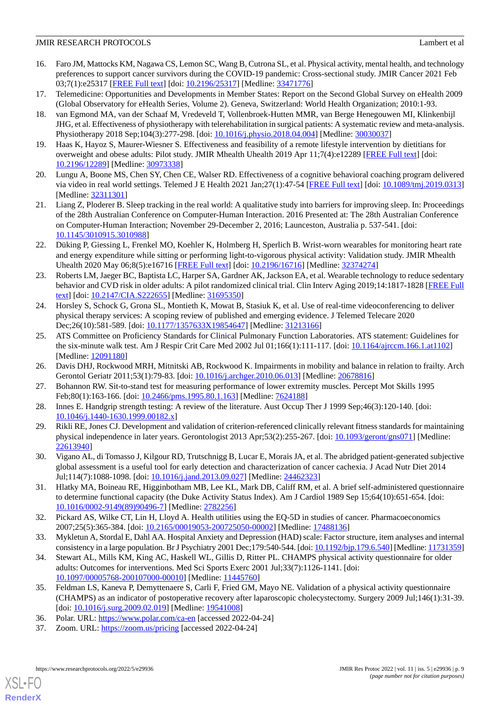## **JMIR RESEARCH PROTOCOLS** Lambert et al.

- <span id="page-8-0"></span>16. Faro JM, Mattocks KM, Nagawa CS, Lemon SC, Wang B, Cutrona SL, et al. Physical activity, mental health, and technology preferences to support cancer survivors during the COVID-19 pandemic: Cross-sectional study. JMIR Cancer 2021 Feb 03;7(1):e25317 [\[FREE Full text](https://cancer.jmir.org/2021/1/e25317/)] [doi: [10.2196/25317\]](http://dx.doi.org/10.2196/25317) [Medline: [33471776\]](http://www.ncbi.nlm.nih.gov/entrez/query.fcgi?cmd=Retrieve&db=PubMed&list_uids=33471776&dopt=Abstract)
- <span id="page-8-1"></span>17. Telemedicine: Opportunities and Developments in Member States: Report on the Second Global Survey on eHealth 2009 (Global Observatory for eHealth Series, Volume 2). Geneva, Switzerland: World Health Organization; 2010:1-93.
- 18. van Egmond MA, van der Schaaf M, Vredeveld T, Vollenbroek-Hutten MMR, van Berge Henegouwen MI, Klinkenbijl JHG, et al. Effectiveness of physiotherapy with telerehabilitation in surgical patients: A systematic review and meta-analysis. Physiotherapy 2018 Sep;104(3):277-298. [doi: [10.1016/j.physio.2018.04.004](http://dx.doi.org/10.1016/j.physio.2018.04.004)] [Medline: [30030037\]](http://www.ncbi.nlm.nih.gov/entrez/query.fcgi?cmd=Retrieve&db=PubMed&list_uids=30030037&dopt=Abstract)
- <span id="page-8-2"></span>19. Haas K, Hayoz S, Maurer-Wiesner S. Effectiveness and feasibility of a remote lifestyle intervention by dietitians for overweight and obese adults: Pilot study. JMIR Mhealth Uhealth 2019 Apr 11;7(4):e12289 [[FREE Full text](https://mhealth.jmir.org/2019/4/e12289/)] [doi: [10.2196/12289\]](http://dx.doi.org/10.2196/12289) [Medline: [30973338\]](http://www.ncbi.nlm.nih.gov/entrez/query.fcgi?cmd=Retrieve&db=PubMed&list_uids=30973338&dopt=Abstract)
- <span id="page-8-3"></span>20. Lungu A, Boone MS, Chen SY, Chen CE, Walser RD. Effectiveness of a cognitive behavioral coaching program delivered via video in real world settings. Telemed J E Health 2021 Jan;27(1):47-54 [\[FREE Full text\]](http://europepmc.org/abstract/MED/32311301) [doi: [10.1089/tmj.2019.0313](http://dx.doi.org/10.1089/tmj.2019.0313)] [Medline: [32311301](http://www.ncbi.nlm.nih.gov/entrez/query.fcgi?cmd=Retrieve&db=PubMed&list_uids=32311301&dopt=Abstract)]
- <span id="page-8-4"></span>21. Liang Z, Ploderer B. Sleep tracking in the real world: A qualitative study into barriers for improving sleep. In: Proceedings of the 28th Australian Conference on Computer-Human Interaction. 2016 Presented at: The 28th Australian Conference on Computer-Human Interaction; November 29-December 2, 2016; Launceston, Australia p. 537-541. [doi: [10.1145/3010915.3010988](http://dx.doi.org/10.1145/3010915.3010988)]
- <span id="page-8-5"></span>22. Düking P, Giessing L, Frenkel MO, Koehler K, Holmberg H, Sperlich B. Wrist-worn wearables for monitoring heart rate and energy expenditure while sitting or performing light-to-vigorous physical activity: Validation study. JMIR Mhealth Uhealth 2020 May 06;8(5):e16716 [[FREE Full text\]](https://mhealth.jmir.org/2020/5/e16716/) [doi: [10.2196/16716](http://dx.doi.org/10.2196/16716)] [Medline: [32374274](http://www.ncbi.nlm.nih.gov/entrez/query.fcgi?cmd=Retrieve&db=PubMed&list_uids=32374274&dopt=Abstract)]
- <span id="page-8-6"></span>23. Roberts LM, Jaeger BC, Baptista LC, Harper SA, Gardner AK, Jackson EA, et al. Wearable technology to reduce sedentary behavior and CVD risk in older adults: A pilot randomized clinical trial. Clin Interv Aging 2019;14:1817-1828 [\[FREE Full](https://dx.doi.org/10.2147/CIA.S222655) [text](https://dx.doi.org/10.2147/CIA.S222655)] [doi: [10.2147/CIA.S222655](http://dx.doi.org/10.2147/CIA.S222655)] [Medline: [31695350\]](http://www.ncbi.nlm.nih.gov/entrez/query.fcgi?cmd=Retrieve&db=PubMed&list_uids=31695350&dopt=Abstract)
- <span id="page-8-7"></span>24. Horsley S, Schock G, Grona SL, Montieth K, Mowat B, Stasiuk K, et al. Use of real-time videoconferencing to deliver physical therapy services: A scoping review of published and emerging evidence. J Telemed Telecare 2020 Dec;26(10):581-589. [doi: [10.1177/1357633X19854647](http://dx.doi.org/10.1177/1357633X19854647)] [Medline: [31213166\]](http://www.ncbi.nlm.nih.gov/entrez/query.fcgi?cmd=Retrieve&db=PubMed&list_uids=31213166&dopt=Abstract)
- <span id="page-8-9"></span><span id="page-8-8"></span>25. ATS Committee on Proficiency Standards for Clinical Pulmonary Function Laboratories. ATS statement: Guidelines for the six-minute walk test. Am J Respir Crit Care Med 2002 Jul 01;166(1):111-117. [doi: [10.1164/ajrccm.166.1.at1102\]](http://dx.doi.org/10.1164/ajrccm.166.1.at1102) [Medline: [12091180](http://www.ncbi.nlm.nih.gov/entrez/query.fcgi?cmd=Retrieve&db=PubMed&list_uids=12091180&dopt=Abstract)]
- <span id="page-8-10"></span>26. Davis DHJ, Rockwood MRH, Mitnitski AB, Rockwood K. Impairments in mobility and balance in relation to frailty. Arch Gerontol Geriatr 2011;53(1):79-83. [doi: [10.1016/j.archger.2010.06.013\]](http://dx.doi.org/10.1016/j.archger.2010.06.013) [Medline: [20678816\]](http://www.ncbi.nlm.nih.gov/entrez/query.fcgi?cmd=Retrieve&db=PubMed&list_uids=20678816&dopt=Abstract)
- <span id="page-8-11"></span>27. Bohannon RW. Sit-to-stand test for measuring performance of lower extremity muscles. Percept Mot Skills 1995 Feb;80(1):163-166. [doi: [10.2466/pms.1995.80.1.163](http://dx.doi.org/10.2466/pms.1995.80.1.163)] [Medline: [7624188](http://www.ncbi.nlm.nih.gov/entrez/query.fcgi?cmd=Retrieve&db=PubMed&list_uids=7624188&dopt=Abstract)]
- <span id="page-8-12"></span>28. Innes E. Handgrip strength testing: A review of the literature. Aust Occup Ther J 1999 Sep;46(3):120-140. [doi: [10.1046/j.1440-1630.1999.00182.x\]](http://dx.doi.org/10.1046/j.1440-1630.1999.00182.x)
- <span id="page-8-13"></span>29. Rikli RE, Jones CJ. Development and validation of criterion-referenced clinically relevant fitness standards for maintaining physical independence in later years. Gerontologist 2013 Apr;53(2):255-267. [doi: [10.1093/geront/gns071](http://dx.doi.org/10.1093/geront/gns071)] [Medline: [22613940](http://www.ncbi.nlm.nih.gov/entrez/query.fcgi?cmd=Retrieve&db=PubMed&list_uids=22613940&dopt=Abstract)]
- <span id="page-8-14"></span>30. Vigano AL, di Tomasso J, Kilgour RD, Trutschnigg B, Lucar E, Morais JA, et al. The abridged patient-generated subjective global assessment is a useful tool for early detection and characterization of cancer cachexia. J Acad Nutr Diet 2014 Jul;114(7):1088-1098. [doi: [10.1016/j.jand.2013.09.027](http://dx.doi.org/10.1016/j.jand.2013.09.027)] [Medline: [24462323](http://www.ncbi.nlm.nih.gov/entrez/query.fcgi?cmd=Retrieve&db=PubMed&list_uids=24462323&dopt=Abstract)]
- <span id="page-8-16"></span><span id="page-8-15"></span>31. Hlatky MA, Boineau RE, Higginbotham MB, Lee KL, Mark DB, Califf RM, et al. A brief self-administered questionnaire to determine functional capacity (the Duke Activity Status Index). Am J Cardiol 1989 Sep 15;64(10):651-654. [doi: [10.1016/0002-9149\(89\)90496-7](http://dx.doi.org/10.1016/0002-9149(89)90496-7)] [Medline: [2782256\]](http://www.ncbi.nlm.nih.gov/entrez/query.fcgi?cmd=Retrieve&db=PubMed&list_uids=2782256&dopt=Abstract)
- 32. Pickard AS, Wilke CT, Lin H, Lloyd A. Health utilities using the EQ-5D in studies of cancer. Pharmacoeconomics 2007;25(5):365-384. [doi: [10.2165/00019053-200725050-00002](http://dx.doi.org/10.2165/00019053-200725050-00002)] [Medline: [17488136](http://www.ncbi.nlm.nih.gov/entrez/query.fcgi?cmd=Retrieve&db=PubMed&list_uids=17488136&dopt=Abstract)]
- <span id="page-8-17"></span>33. Mykletun A, Stordal E, Dahl AA. Hospital Anxiety and Depression (HAD) scale: Factor structure, item analyses and internal consistency in a large population. Br J Psychiatry 2001 Dec;179:540-544. [doi: [10.1192/bjp.179.6.540](http://dx.doi.org/10.1192/bjp.179.6.540)] [Medline: [11731359\]](http://www.ncbi.nlm.nih.gov/entrez/query.fcgi?cmd=Retrieve&db=PubMed&list_uids=11731359&dopt=Abstract)
- <span id="page-8-19"></span><span id="page-8-18"></span>34. Stewart AL, Mills KM, King AC, Haskell WL, Gillis D, Ritter PL. CHAMPS physical activity questionnaire for older adults: Outcomes for interventions. Med Sci Sports Exerc 2001 Jul;33(7):1126-1141. [doi: [10.1097/00005768-200107000-00010](http://dx.doi.org/10.1097/00005768-200107000-00010)] [Medline: [11445760](http://www.ncbi.nlm.nih.gov/entrez/query.fcgi?cmd=Retrieve&db=PubMed&list_uids=11445760&dopt=Abstract)]
- 35. Feldman LS, Kaneva P, Demyttenaere S, Carli F, Fried GM, Mayo NE. Validation of a physical activity questionnaire (CHAMPS) as an indicator of postoperative recovery after laparoscopic cholecystectomy. Surgery 2009 Jul;146(1):31-39. [doi: [10.1016/j.surg.2009.02.019](http://dx.doi.org/10.1016/j.surg.2009.02.019)] [Medline: [19541008\]](http://www.ncbi.nlm.nih.gov/entrez/query.fcgi?cmd=Retrieve&db=PubMed&list_uids=19541008&dopt=Abstract)
- 36. Polar. URL:<https://www.polar.com/ca-en> [accessed 2022-04-24]
- 37. Zoom. URL: <https://zoom.us/pricing> [accessed 2022-04-24]